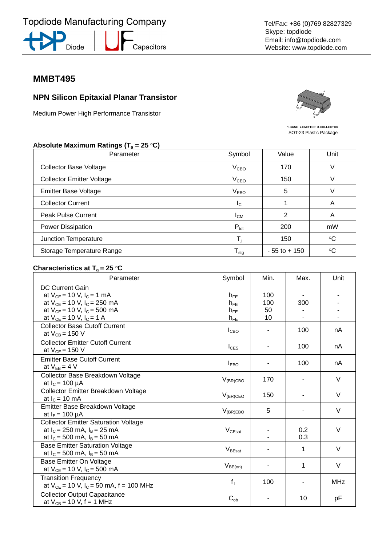





## **MMBT495**

## **NPN Silicon Epitaxial Planar Transistor**

Medium Power High Performance Transistor



1.BASE 2.EMITTER 3.COLLECTOR SOT-23 Plastic Package

#### Absolute Maximum Ratings (T<sub>a</sub> = 25 °C)

| Parameter                        | Symbol                      | Value           | Unit            |
|----------------------------------|-----------------------------|-----------------|-----------------|
| <b>Collector Base Voltage</b>    | V <sub>CBO</sub>            | 170             |                 |
| <b>Collector Emitter Voltage</b> | V <sub>CEO</sub>            | 150             |                 |
| <b>Emitter Base Voltage</b>      | V <sub>EBO</sub>            | 5               |                 |
| <b>Collector Current</b>         | $I_{\rm C}$                 |                 | Α               |
| <b>Peak Pulse Current</b>        | $I_{CM}$                    | 2               | A               |
| Power Dissipation                | $P_{\text{tot}}$            | 200             | mW              |
| Junction Temperature             |                             | 150             | $\rm ^{\circ}C$ |
| Storage Temperature Range        | $\mathsf{T}_{\textsf{stg}}$ | $-55$ to $+150$ | $^{\circ}C$     |

#### **Characteristics at T<sub>a</sub> = 25 °C**

| Parameter                                                                                                                                                                   | Symbol                                       | Min.                   | Max.       | Unit       |
|-----------------------------------------------------------------------------------------------------------------------------------------------------------------------------|----------------------------------------------|------------------------|------------|------------|
| <b>DC Current Gain</b><br>at $V_{CE} = 10 V$ , $I_C = 1 mA$<br>at $V_{CE}$ = 10 V, $I_C$ = 250 mA<br>at $V_{CE} = 10 V$ , $I_C = 500 mA$<br>at $V_{CE}$ = 10 V, $I_C$ = 1 A | $h_{FF}$<br>$h_{FF}$<br>$h_{FE}$<br>$h_{FE}$ | 100<br>100<br>50<br>10 | 300        |            |
| <b>Collector Base Cutoff Current</b><br>at $V_{CB} = 150 V$                                                                                                                 | I <sub>CBO</sub>                             | ۰                      | 100        | nA         |
| <b>Collector Emitter Cutoff Current</b><br>at $V_{CE}$ = 150 V                                                                                                              | $I_{CES}$                                    |                        | 100        | nA         |
| <b>Emitter Base Cutoff Current</b><br>at $V_{EB} = 4 V$                                                                                                                     | $I_{EBO}$                                    |                        | 100        | nA         |
| Collector Base Breakdown Voltage<br>at $I_c = 100 \mu A$                                                                                                                    | $V_{(BR)CBO}$                                | 170                    |            | V          |
| Collector Emitter Breakdown Voltage<br>at $I_c = 10$ mA                                                                                                                     | $V_{(BR)CEO}$                                | 150                    |            | $\vee$     |
| Emitter Base Breakdown Voltage<br>at $I_{E} = 100 \mu A$                                                                                                                    | $V_{(BR)EBO}$                                | 5                      |            | $\vee$     |
| <b>Collector Emitter Saturation Voltage</b><br>at $I_c = 250$ mA, $I_B = 25$ mA<br>at $I_c = 500$ mA, $I_B = 50$ mA                                                         | $V_{CEsat}$                                  |                        | 0.2<br>0.3 | $\vee$     |
| <b>Base Emitter Saturation Voltage</b><br>at $I_c = 500$ mA, $I_B = 50$ mA                                                                                                  | $V_{\text{BEsat}}$                           |                        | 1          | $\vee$     |
| Base Emitter On Voltage<br>at $V_{CE}$ = 10 V, $I_C$ = 500 mA                                                                                                               | $V_{BE(on)}$                                 |                        | 1          | $\vee$     |
| <b>Transition Frequency</b><br>at $V_{CE}$ = 10 V, I <sub>C</sub> = 50 mA, f = 100 MHz                                                                                      | $f_T$                                        | 100                    |            | <b>MHz</b> |
| <b>Collector Output Capacitance</b><br>at $V_{CB} = 10 V$ , f = 1 MHz                                                                                                       | $C_{ob}$                                     |                        | 10         | pF         |